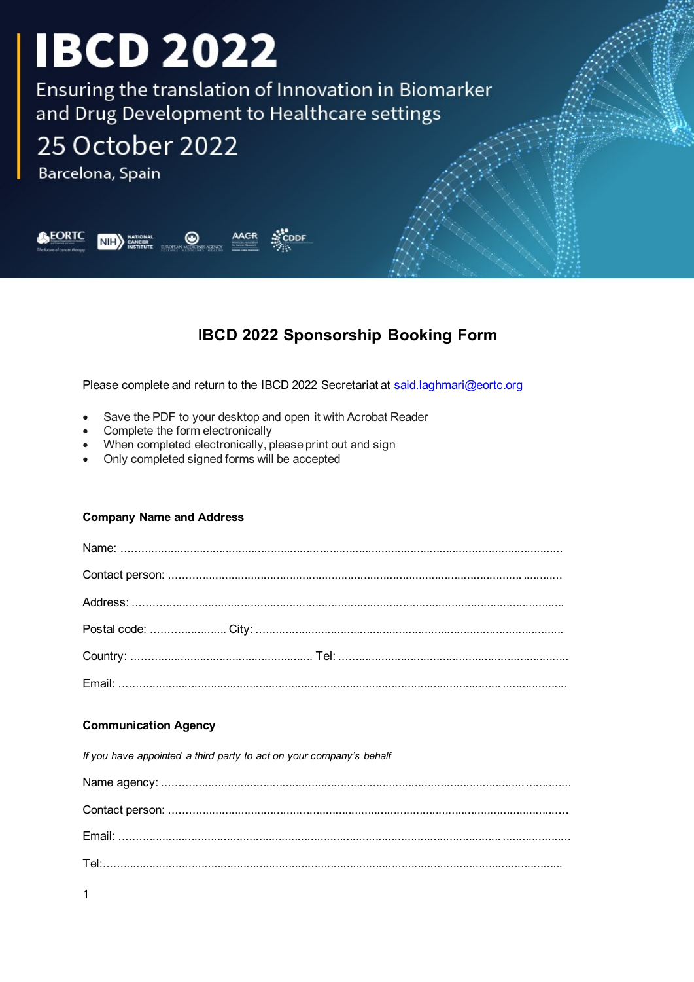Ensuring the translation of Innovation in Biomarker and Drug Development to Healthcare settings

## 25 October 2022

Barcelona, Spain



### **IBCD 2022 Sponsorship Booking Form**

Please complete and return to the IBCD 2022 Secretariat at said.laghmari@eortc.org

- Save the PDF to your desktop and open it with Acrobat Reader
- Complete the form electronically
- When completed electronically, please print out and sign
- Only completed signed forms will be accepted

#### **Company Name and Address**

#### **Communication Agency**

If you have appointed a third party to act on your company's behalf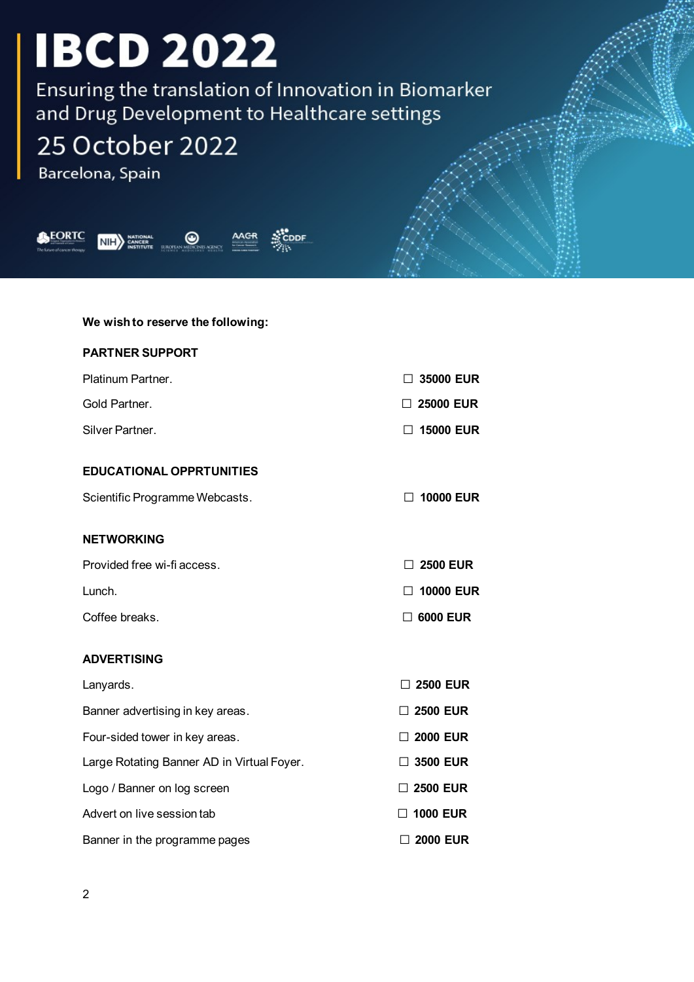Ensuring the translation of Innovation in Biomarker and Drug Development to Healthcare settings

## 25 October 2022

Barcelona, Spain



#### **We wish to reserve the following:**

#### **PARTNER SUPPORT**

| Platinum Partner. | $\Box$ 35000 EUR |
|-------------------|------------------|
| Gold Partner.     | $\Box$ 25000 EUR |
| Silver Partner.   | $\Box$ 15000 EUR |

#### **EDUCATIONAL OPPRTUNITIES**

| Scientific Programme Webcasts. | $\Box$ 10000 EUR |
|--------------------------------|------------------|
|                                |                  |

#### **NETWORKING**

| Provided free wi-fi access. | $\Box$ 2500 EUR  |
|-----------------------------|------------------|
| Lunch.                      | $\Box$ 10000 EUR |
| Coffee breaks.              | $\Box$ 6000 EUR  |

### **ADVERTISING** Lanyards. **□ <sup>2500</sup> EUR** Banner advertising in key areas. **□ <sup>2500</sup> EUR** Four-sided tower in key areas. **□ <sup>2000</sup> EUR** Large Rotating Banner AD in Virtual Foyer. **□ <sup>3500</sup> EUR** Logo / Banner on log screen **□ 2500 EUR** Advert on live session tab **□ 1000 EUR** Banner in the programme pages **□ 2000 EUR**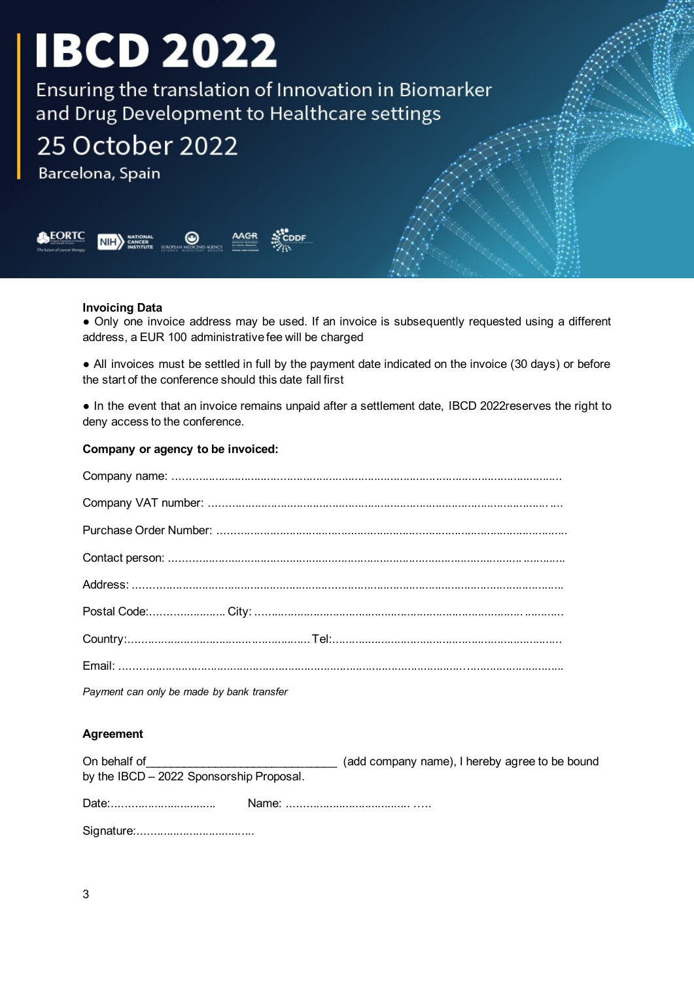Ensuring the translation of Innovation in Biomarker and Drug Development to Healthcare settings

### 25 October 2022

Barcelona, Spain



#### **Invoicing Data**

● Only one invoice address may be used. If an invoice is subsequently requested using a different address, a EUR 100 administrative fee will be charged

• All invoices must be settled in full by the payment date indicated on the invoice (30 days) or before the start of the conference should this date fall first

● In the event that an invoice remains unpaid after a settlement date, IBCD 2022reserves the right to deny access to the conference.

#### **Company or agency to be invoiced:**

| Payment can only be made by bank transfer |
|-------------------------------------------|

#### **Agreement**

| On behalf of<br>by the IBCD - 2022 Sponsorship Proposal. | (add company name), I hereby agree to be bound |
|----------------------------------------------------------|------------------------------------------------|
|                                                          |                                                |
|                                                          |                                                |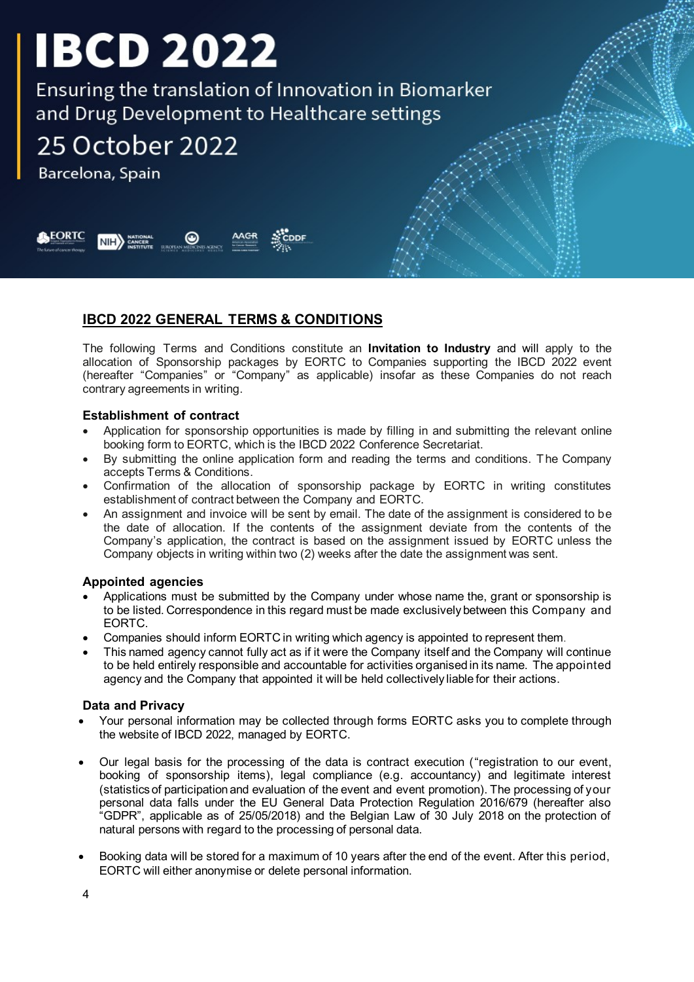Ensuring the translation of Innovation in Biomarker and Drug Development to Healthcare settings

### 25 October 2022

Barcelona, Spain



#### **IBCD 2022 GENERAL TERMS & CONDITIONS**

The following Terms and Conditions constitute an **Invitation to Industry** and will apply to the allocation of Sponsorship packages by EORTC to Companies supporting the IBCD 2022 event (hereafter "Companies" or "Company" as applicable) insofar as these Companies do not reach contrary agreements in writing.

#### **Establishment of contract**

- Application for sponsorship opportunities is made by filling in and submitting the relevant online booking form to EORTC, which is the IBCD 2022 Conference Secretariat.
- By submitting the online application form and reading the terms and conditions. The Company accepts Terms & Conditions.
- Confirmation of the allocation of sponsorship package by EORTC in writing constitutes establishment of contract between the Company and EORTC.
- An assignment and invoice will be sent by email. The date of the assignment is considered to be the date of allocation. If the contents of the assignment deviate from the contents of the Company's application, the contract is based on the assignment issued by EORTC unless the Company objects in writing within two (2) weeks after the date the assignment was sent.

#### **Appointed agencies**

- Applications must be submitted by the Company under whose name the, grant or sponsorship is to be listed. Correspondence in this regard must be made exclusively between this Company and EORTC.
- Companies should inform EORTC in writing which agency is appointed to represent them.
- This named agency cannot fully act as if it were the Company itself and the Company will continue to be held entirely responsible and accountable for activities organised in its name. The appointed agency and the Company that appointed it will be held collectively liable for their actions.

#### **Data and Privacy**

- Your personal information may be collected through forms EORTC asks you to complete through the website of IBCD 2022, managed by EORTC.
- Our legal basis for the processing of the data is contract execution ("registration to our event, booking of sponsorship items), legal compliance (e.g. accountancy) and legitimate interest (statistics of participation and evaluation of the event and event promotion). The processing of your personal data falls under the EU General Data Protection Regulation 2016/679 (hereafter also "GDPR", applicable as of 25/05/2018) and the Belgian Law of 30 July 2018 on the protection of natural persons with regard to the processing of personal data.
- Booking data will be stored for a maximum of 10 years after the end of the event. After this period, EORTC will either anonymise or delete personal information.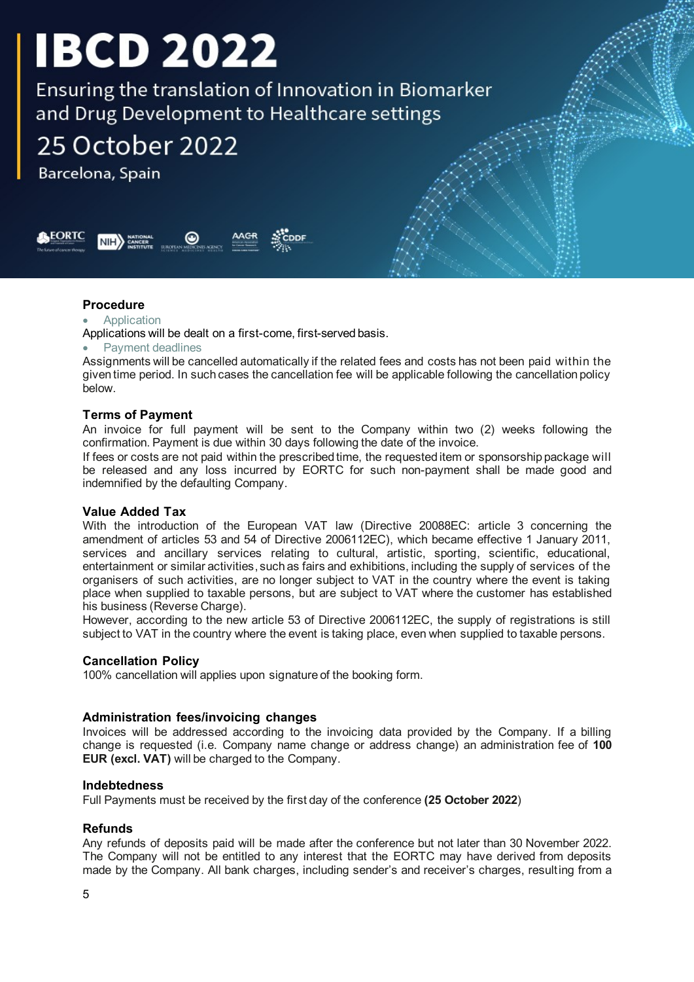Ensuring the translation of Innovation in Biomarker and Drug Development to Healthcare settings

### 25 October 2022

Barcelona, Spain



#### **Procedure**

#### **Application**

Applications will be dealt on a first-come, first-served basis.

#### Payment deadlines

Assignments will be cancelled automatically if the related fees and costs has not been paid within the given time period. In such cases the cancellation fee will be applicable following the cancellation policy below.

#### **Terms of Payment**

An invoice for full payment will be sent to the Company within two (2) weeks following the confirmation. Payment is due within 30 days following the date of the invoice.

If fees or costs are not paid within the prescribed time, the requested item or sponsorship package will be released and any loss incurred by EORTC for such non-payment shall be made good and indemnified by the defaulting Company.

#### **Value Added Tax**

With the introduction of the European VAT law (Directive 20088EC: article 3 concerning the amendment of articles 53 and 54 of Directive 2006112EC), which became effective 1 January 2011, services and ancillary services relating to cultural, artistic, sporting, scientific, educational, entertainment or similar activities, such as fairs and exhibitions, including the supply of services of the organisers of such activities, are no longer subject to VAT in the country where the event is taking place when supplied to taxable persons, but are subject to VAT where the customer has established his business (Reverse Charge).

However, according to the new article 53 of Directive 2006112EC, the supply of registrations is still subject to VAT in the country where the event is taking place, even when supplied to taxable persons.

#### **Cancellation Policy**

100% cancellation will applies upon signature of the booking form.

#### **Administration fees/invoicing changes**

Invoices will be addressed according to the invoicing data provided by the Company. If a billing change is requested (i.e. Company name change or address change) an administration fee of **100 EUR (excl. VAT)** will be charged to the Company.

#### **Indebtedness**

Full Payments must be received by the first day of the conference **(25 October 2022**)

#### **Refunds**

Any refunds of deposits paid will be made after the conference but not later than 30 November 2022. The Company will not be entitled to any interest that the EORTC may have derived from deposits made by the Company. All bank charges, including sender's and receiver's charges, resulting from a